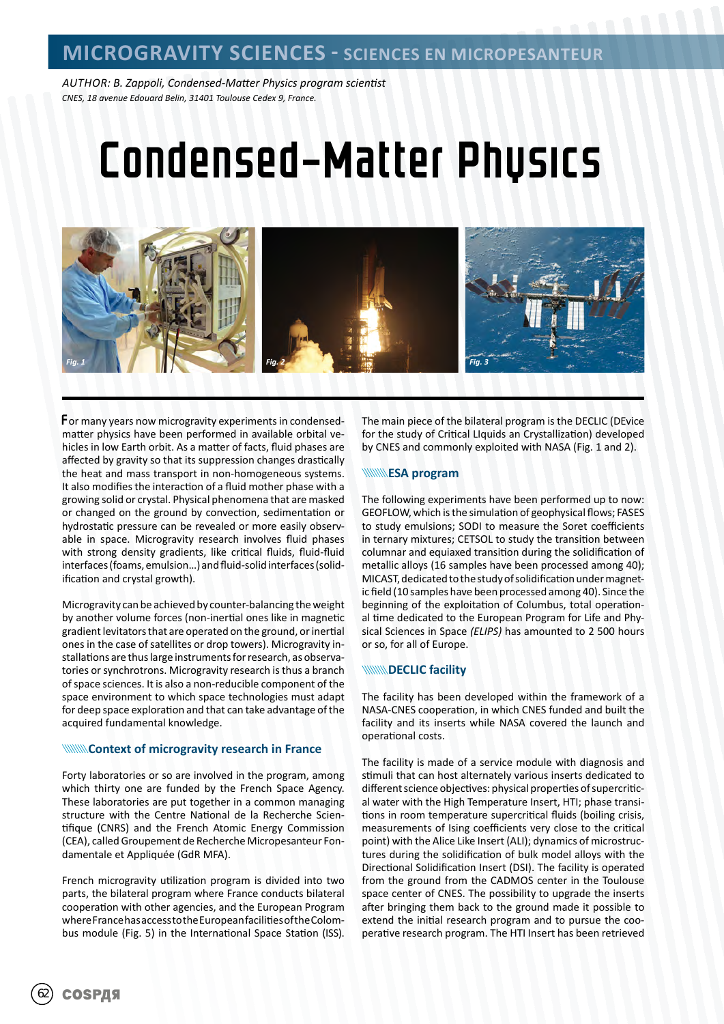*AUTHOR: B. Zappoli, Condensed-Matter Physics program scientist CNES, 18 avenue Edouard Belin, 31401 Toulouse Cedex 9, France.*

# Condensed-Matter Physics



For many years now microgravity experiments in condensedmatter physics have been performed in available orbital vehicles in low Earth orbit. As a matter of facts, fluid phases are affected by gravity so that its suppression changes drastically the heat and mass transport in non-homogeneous systems. It also modifies the interaction of a fluid mother phase with a growing solid or crystal. Physical phenomena that are masked or changed on the ground by convection, sedimentation or hydrostatic pressure can be revealed or more easily observable in space. Microgravity research involves fluid phases with strong density gradients, like critical fluids, fluid-fluid interfaces (foams, emulsion…) and fluid-solid interfaces (solidification and crystal growth).

Microgravity can be achieved by counter-balancing the weight by another volume forces (non-inertial ones like in magnetic gradient levitators that are operated on the ground, or inertial ones in the case of satellites or drop towers). Microgravity installations are thus large instruments for research, as observatories or synchrotrons. Microgravity research is thus a branch of space sciences. It is also a non-reducible component of the space environment to which space technologies must adapt for deep space exploration and that can take advantage of the acquired fundamental knowledge.

#### **WINNING Context of microgravity research in France**

Forty laboratories or so are involved in the program, among which thirty one are funded by the French Space Agency. These laboratories are put together in a common managing structure with the Centre National de la Recherche Scientifique (CNRS) and the French Atomic Energy Commission (CEA), called Groupement de Recherche Micropesanteur Fondamentale et Appliquée (GdR MFA).

French microgravity utilization program is divided into two parts, the bilateral program where France conducts bilateral cooperation with other agencies, and the European Program where France has access to the European facilities of the Colombus module (Fig. 5) in the International Space Station (ISS).

The main piece of the bilateral program is the DECLIC (DEvice for the study of Critical LIquids an Crystallization) developed by CNES and commonly exploited with NASA (Fig. 1 and 2).

#### **WWWESA program**

The following experiments have been performed up to now: GEOFLOW, which is the simulation of geophysical flows; FASES to study emulsions; SODI to measure the Soret coefficients in ternary mixtures; CETSOL to study the transition between columnar and equiaxed transition during the solidification of metallic alloys (16 samples have been processed among 40); MICAST, dedicated to the study of solidification under magnetic field (10 samples have been processed among 40). Since the beginning of the exploitation of Columbus, total operational time dedicated to the European Program for Life and Physical Sciences in Space *(ELIPS)* has amounted to 2 500 hours or so, for all of Europe.

#### **WINNING DECLIC facility**

The facility has been developed within the framework of a NASA-CNES cooperation, in which CNES funded and built the facility and its inserts while NASA covered the launch and operational costs.

The facility is made of a service module with diagnosis and stimuli that can host alternately various inserts dedicated to different science objectives: physical properties of supercritical water with the High Temperature Insert, HTI; phase transitions in room temperature supercritical fluids (boiling crisis, measurements of Ising coefficients very close to the critical point) with the Alice Like Insert (ALI); dynamics of microstructures during the solidification of bulk model alloys with the Directional Solidification Insert (DSI). The facility is operated from the ground from the CADMOS center in the Toulouse space center of CNES. The possibility to upgrade the inserts after bringing them back to the ground made it possible to extend the initial research program and to pursue the cooperative research program. The HTI Insert has been retrieved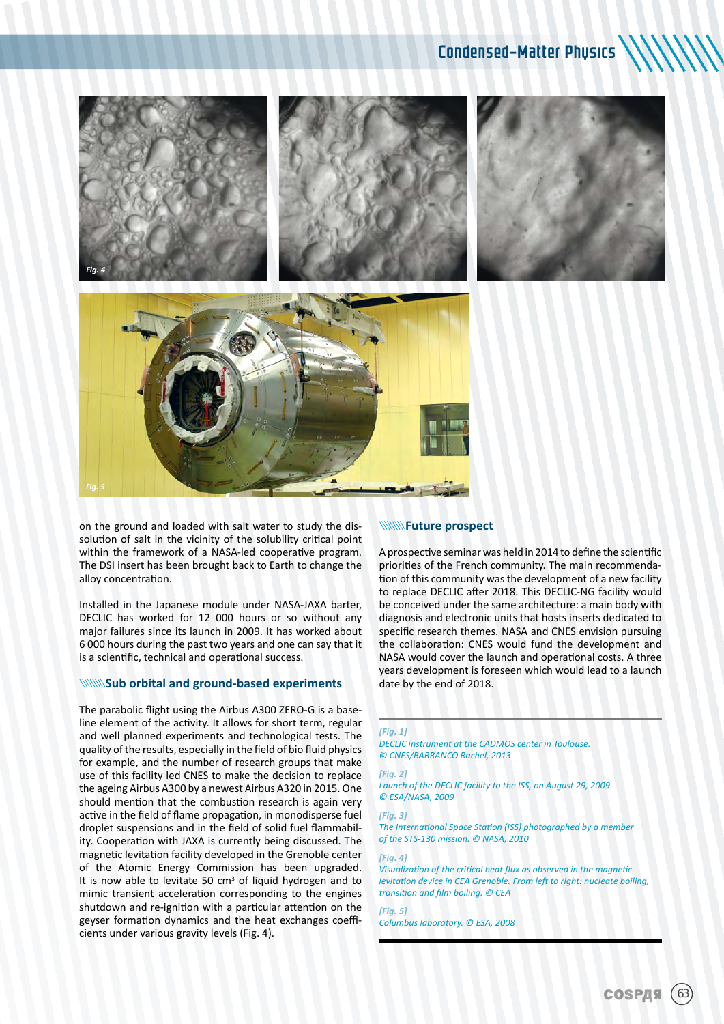

on the ground and loaded with salt water to study the dissolution of salt in the vicinity of the solubility critical point within the framework of a NASA-led cooperative program. The DSI insert has been brought back to Earth to change the alloy concentration.

Installed in the Japanese module under NASA-JAXA barter, DECLIC has worked for 12 000 hours or so without any major failures since its launch in 2009. It has worked about 6 000 hours during the past two years and one can say that it is a scientific, technical and operational success.

#### **WINNINGUD orbital and ground-based experiments**

The parabolic flight using the Airbus A300 ZERO-G is a baseline element of the activity. It allows for short term, regular and well planned experiments and technological tests. The quality of the results, especially in the field of bio fluid physics for example, and the number of research groups that make use of this facility led CNES to make the decision to replace the ageing Airbus A300 by a newest Airbus A320 in 2015. One should mention that the combustion research is again very active in the field of flame propagation, in monodisperse fuel droplet suspensions and in the field of solid fuel flammability. Cooperation with JAXA is currently being discussed. The magnetic levitation facility developed in the Grenoble center of the Atomic Energy Commission has been upgraded. It is now able to levitate 50 cm<sup>3</sup> of liquid hydrogen and to mimic transient acceleration corresponding to the engines shutdown and re-ignition with a particular attention on the geyser formation dynamics and the heat exchanges coefficients under various gravity levels (Fig. 4).

#### **WWW.Future prospect**

A prospective seminar was held in 2014 to define the scientific priorities of the French community. The main recommendation of this community was the development of a new facility to replace DECLIC after 2018. This DECLIC-NG facility would be conceived under the same architecture: a main body with diagnosis and electronic units that hosts inserts dedicated to specific research themes. NASA and CNES envision pursuing the collaboration: CNES would fund the development and NASA would cover the launch and operational costs. A three years development is foreseen which would lead to a launch date by the end of 2018.

#### *[Fig. 1]*

*DECLIC instrument at the CADMOS center in Toulouse. © CNES/BARRANCO Rachel, 2013*

#### *[Fig. 2]*

*Launch of the DECLIC facility to the ISS, on August 29, 2009. © ESA/NASA, 2009*

#### *[Fig. 3]*

*The International Space Station (ISS) photographed by a member of the STS-130 mission. © NASA, 2010*

#### *[Fig. 4]*

*Visualization of the critical heat flux as observed in the magnetic levitation device in CEA Grenoble. From left to right: nucleate boiling, transition and film boiling. © CEA*

*[Fig. 5] Columbus laboratory. © ESA, 2008*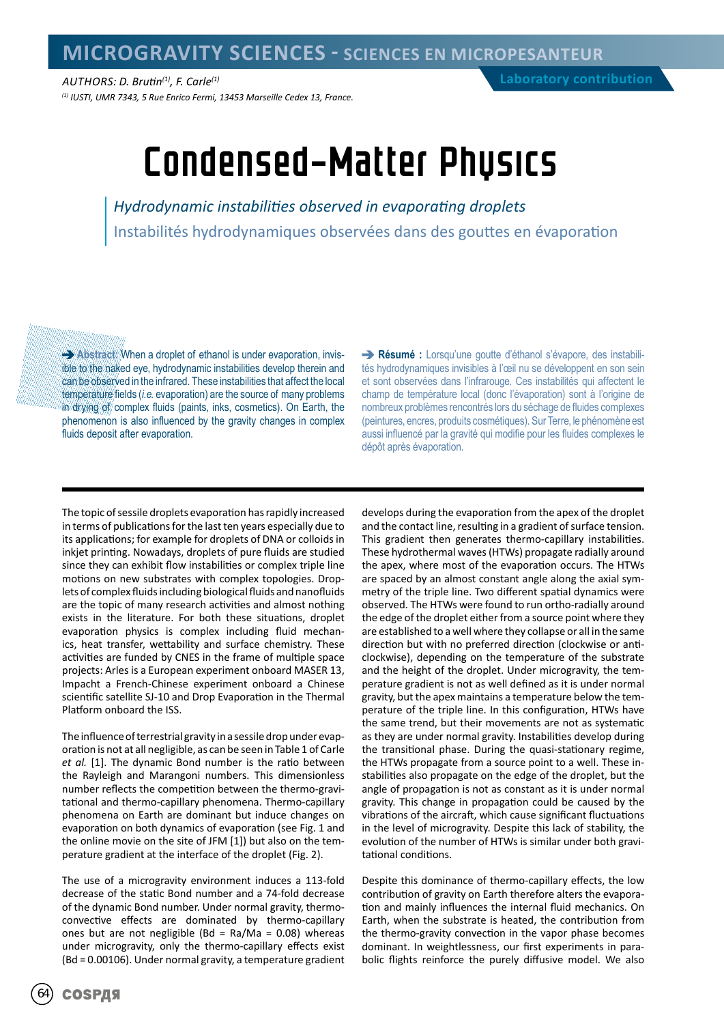*AUTHORS: D. Brutin(1), F. Carle(1) (1) IUSTI, UMR 7343, 5 Rue Enrico Fermi, 13453 Marseille Cedex 13, France.*

## Condensed-Matter Physics

*Hydrodynamic instabilities observed in evaporating droplets* Instabilités hydrodynamiques observées dans des gouttes en évaporation

**Abstract:** When a droplet of ethanol is under evaporation, invisible to the naked eye, hydrodynamic instabilities develop therein and can be observed in the infrared. These instabilities that affect the local temperature fields (*i.e.* evaporation) are the source of many problems in drying of complex fluids (paints, inks, cosmetics). On Earth, the phenomenon is also influenced by the gravity changes in complex fluids deposit after evaporation.

**Résumé :** Lorsqu'une goutte d'éthanol s'évapore, des instabilités hydrodynamiques invisibles à l'œil nu se développent en son sein et sont observées dans l'infrarouge. Ces instabilités qui affectent le champ de température local (donc l'évaporation) sont à l'origine de nombreux problèmes rencontrés lors du séchage de fluides complexes (peintures, encres, produits cosmétiques). Sur Terre, le phénomène est aussi influencé par la gravité qui modifie pour les fluides complexes le dépôt après évaporation.

The topic of sessile droplets evaporation has rapidly increased in terms of publications for the last ten years especially due to its applications; for example for droplets of DNA or colloids in inkjet printing. Nowadays, droplets of pure fluids are studied since they can exhibit flow instabilities or complex triple line motions on new substrates with complex topologies. Droplets of complex fluids including biological fluids and nanofluids are the topic of many research activities and almost nothing exists in the literature. For both these situations, droplet evaporation physics is complex including fluid mechanics, heat transfer, wettability and surface chemistry. These activities are funded by CNES in the frame of multiple space projects: Arles is a European experiment onboard MASER 13, Impacht a French-Chinese experiment onboard a Chinese scientific satellite SJ-10 and Drop Evaporation in the Thermal Platform onboard the ISS.

The influence of terrestrial gravity in a sessile drop under evaporation is not at all negligible, as can be seen in Table 1 of Carle *et al.* [1]. The dynamic Bond number is the ratio between the Rayleigh and Marangoni numbers. This dimensionless number reflects the competition between the thermo-gravitational and thermo-capillary phenomena. Thermo-capillary phenomena on Earth are dominant but induce changes on evaporation on both dynamics of evaporation (see Fig. 1 and the online movie on the site of JFM [1]) but also on the temperature gradient at the interface of the droplet (Fig. 2).

The use of a microgravity environment induces a 113-fold decrease of the static Bond number and a 74-fold decrease of the dynamic Bond number. Under normal gravity, thermoconvective effects are dominated by thermo-capillary ones but are not negligible (Bd = Ra/Ma =  $0.08$ ) whereas under microgravity, only the thermo-capillary effects exist (Bd = 0.00106). Under normal gravity, a temperature gradient

develops during the evaporation from the apex of the droplet and the contact line, resulting in a gradient of surface tension. This gradient then generates thermo-capillary instabilities. These hydrothermal waves (HTWs) propagate radially around the apex, where most of the evaporation occurs. The HTWs are spaced by an almost constant angle along the axial symmetry of the triple line. Two different spatial dynamics were observed. The HTWs were found to run ortho-radially around the edge of the droplet either from a source point where they are established to a well where they collapse or all in the same direction but with no preferred direction (clockwise or anticlockwise), depending on the temperature of the substrate and the height of the droplet. Under microgravity, the temperature gradient is not as well defined as it is under normal gravity, but the apex maintains a temperature below the temperature of the triple line. In this configuration, HTWs have the same trend, but their movements are not as systematic as they are under normal gravity. Instabilities develop during the transitional phase. During the quasi-stationary regime, the HTWs propagate from a source point to a well. These instabilities also propagate on the edge of the droplet, but the angle of propagation is not as constant as it is under normal gravity. This change in propagation could be caused by the vibrations of the aircraft, which cause significant fluctuations in the level of microgravity. Despite this lack of stability, the evolution of the number of HTWs is similar under both gravitational conditions.

Despite this dominance of thermo-capillary effects, the low contribution of gravity on Earth therefore alters the evaporation and mainly influences the internal fluid mechanics. On Earth, when the substrate is heated, the contribution from the thermo-gravity convection in the vapor phase becomes dominant. In weightlessness, our first experiments in parabolic flights reinforce the purely diffusive model. We also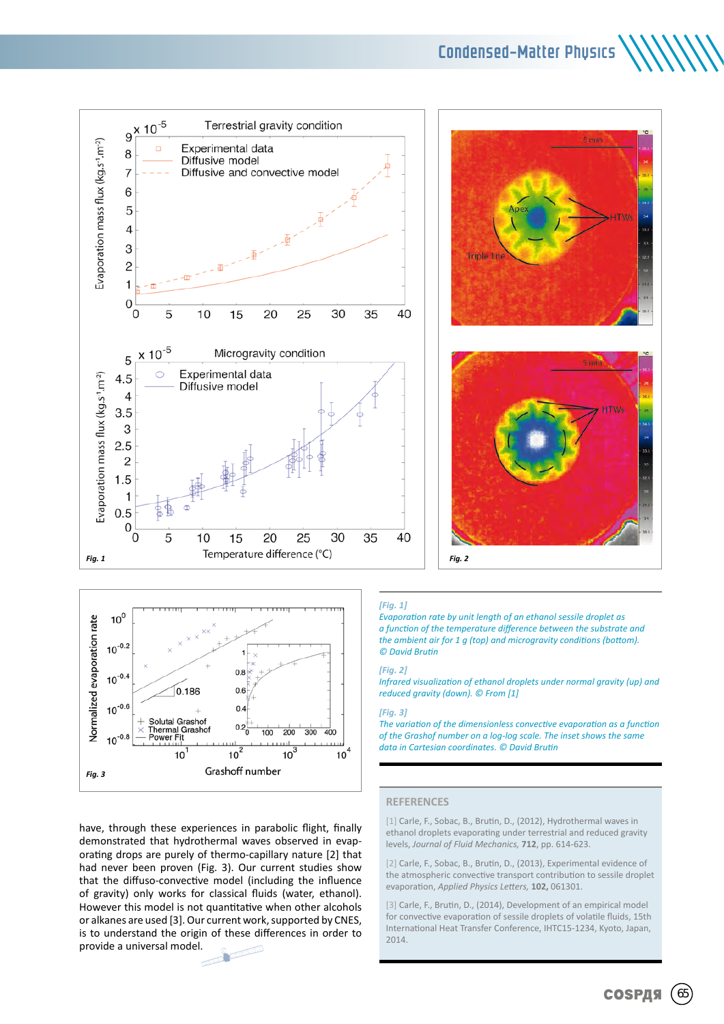Condensed-Matter Physics





have, through these experiences in parabolic flight, finally demonstrated that hydrothermal waves observed in evaporating drops are purely of thermo-capillary nature [2] that had never been proven (Fig. 3). Our current studies show that the diffuso-convective model (including the influence of gravity) only works for classical fluids (water, ethanol). However this model is not quantitative when other alcohols or alkanes are used [3]. Our current work, supported by CNES, is to understand the origin of these differences in order to provide a universal model. ТY





*[Fig. 1]* 

*Evaporation rate by unit length of an ethanol sessile droplet as a function of the temperature difference between the substrate and the ambient air for 1 g (top) and microgravity conditions (bottom). © David Brutin*

#### *[Fig. 2]*

*Infrared visualization of ethanol droplets under normal gravity (up) and reduced gravity (down). © From [1]*

#### *[Fig. 3]*

*The variation of the dimensionless convective evaporation as a function of the Grashof number on a log-log scale. The inset shows the same data in Cartesian coordinates. © David Brutin*

#### **REFERENCES**

[1] Carle, F., Sobac, B., Brutin, D., (2012), Hydrothermal waves in ethanol droplets evaporating under terrestrial and reduced gravity levels, *Journal of Fluid Mechanics,* **712**, pp. 614-623.

[2] Carle, F., Sobac, B., Brutin, D., (2013), Experimental evidence of the atmospheric convective transport contribution to sessile droplet evaporation, *Applied Physics Letters,* **102,** 061301.

[3] Carle, F., Brutin, D., (2014), Development of an empirical model for convective evaporation of sessile droplets of volatile fluids, 15th International Heat Transfer Conference, IHTC15-1234, Kyoto, Japan, 2014.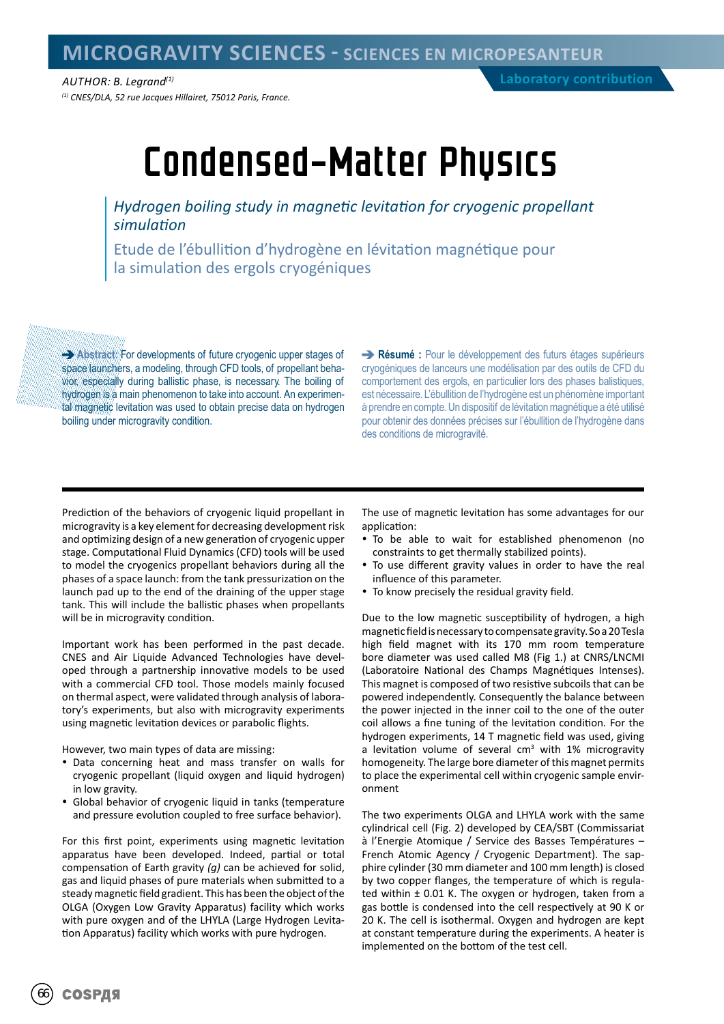*AUTHOR: B. Legrand(1) (1) CNES/DLA, 52 rue Jacques Hillairet, 75012 Paris, France.*

# Condensed-Matter Physics

*Hydrogen boiling study in magnetic levitation for cryogenic propellant simulation*

Etude de l'ébullition d'hydrogène en lévitation magnétique pour la simulation des ergols cryogéniques

**Abstract:** For developments of future cryogenic upper stages of space launchers, a modeling, through CFD tools, of propellant behavior, especially during ballistic phase, is necessary. The boiling of hydrogen is a main phenomenon to take into account. An experimental magnetic levitation was used to obtain precise data on hydrogen boiling under microgravity condition.

**Résumé :** Pour le développement des futurs étages supérieurs cryogéniques de lanceurs une modélisation par des outils de CFD du comportement des ergols, en particulier lors des phases balistiques, est nécessaire. L'ébullition de l'hydrogène est un phénomène important à prendre en compte. Un dispositif de lévitation magnétique a été utilisé pour obtenir des données précises sur l'ébullition de l'hydrogène dans des conditions de microgravité.

Prediction of the behaviors of cryogenic liquid propellant in microgravity is a key element for decreasing development risk and optimizing design of a new generation of cryogenic upper stage. Computational Fluid Dynamics (CFD) tools will be used to model the cryogenics propellant behaviors during all the phases of a space launch: from the tank pressurization on the launch pad up to the end of the draining of the upper stage tank. This will include the ballistic phases when propellants will be in microgravity condition.

Important work has been performed in the past decade. CNES and Air Liquide Advanced Technologies have developed through a partnership innovative models to be used with a commercial CFD tool. Those models mainly focused on thermal aspect, were validated through analysis of laboratory's experiments, but also with microgravity experiments using magnetic levitation devices or parabolic flights.

However, two main types of data are missing:

- Data concerning heat and mass transfer on walls for cryogenic propellant (liquid oxygen and liquid hydrogen) in low gravity.
- Global behavior of cryogenic liquid in tanks (temperature and pressure evolution coupled to free surface behavior).

For this first point, experiments using magnetic levitation apparatus have been developed. Indeed, partial or total compensation of Earth gravity *(g)* can be achieved for solid, gas and liquid phases of pure materials when submitted to a steady magnetic field gradient. This has been the object of the OLGA (Oxygen Low Gravity Apparatus) facility which works with pure oxygen and of the LHYLA (Large Hydrogen Levitation Apparatus) facility which works with pure hydrogen.

The use of magnetic levitation has some advantages for our application:

- To be able to wait for established phenomenon (no constraints to get thermally stabilized points).
- To use different gravity values in order to have the real influence of this parameter.
- To know precisely the residual gravity field.

Due to the low magnetic susceptibility of hydrogen, a high magnetic field is necessary to compensate gravity. So a 20 Tesla high field magnet with its 170 mm room temperature bore diameter was used called M8 (Fig 1.) at CNRS/LNCMI (Laboratoire National des Champs Magnétiques Intenses). This magnet is composed of two resistive subcoils that can be powered independently. Consequently the balance between the power injected in the inner coil to the one of the outer coil allows a fine tuning of the levitation condition. For the hydrogen experiments, 14 T magnetic field was used, giving a levitation volume of several cm<sup>3</sup> with 1% microgravity homogeneity. The large bore diameter of this magnet permits to place the experimental cell within cryogenic sample environment

The two experiments OLGA and LHYLA work with the same cylindrical cell (Fig. 2) developed by CEA/SBT (Commissariat à l'Energie Atomique / Service des Basses Températures – French Atomic Agency / Cryogenic Department). The sapphire cylinder (30 mm diameter and 100 mm length) is closed by two copper flanges, the temperature of which is regulated within ± 0.01 K. The oxygen or hydrogen, taken from a gas bottle is condensed into the cell respectively at 90 K or 20 K. The cell is isothermal. Oxygen and hydrogen are kept at constant temperature during the experiments. A heater is implemented on the bottom of the test cell.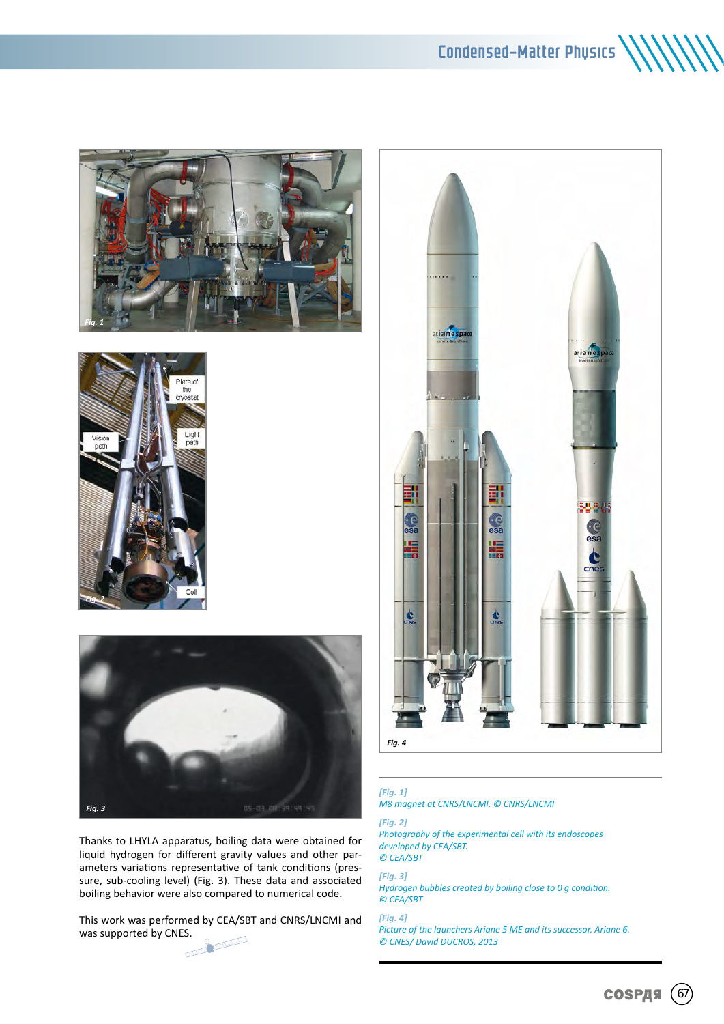### Condensed-Matter Physics







Thanks to LHYLA apparatus, boiling data were obtained for liquid hydrogen for different gravity values and other parameters variations representative of tank conditions (pressure, sub-cooling level) (Fig. 3). These data and associated boiling behavior were also compared to numerical code.

This work was performed by CEA/SBT and CNRS/LNCMI and was supported by CNES.





### *[Fig. 1]*

*M8 magnet at CNRS/LNCMI. © CNRS/LNCMI*

#### *[Fig. 2]*

*Photography of the experimental cell with its endoscopes developed by CEA/SBT. © CEA/SBT*

*[Fig. 3]*

*Hydrogen bubbles created by boiling close to 0 g condition. © CEA/SBT*

*[Fig. 4] Picture of the launchers Ariane 5 ME and its successor, Ariane 6. © CNES/ David DUCROS, 2013*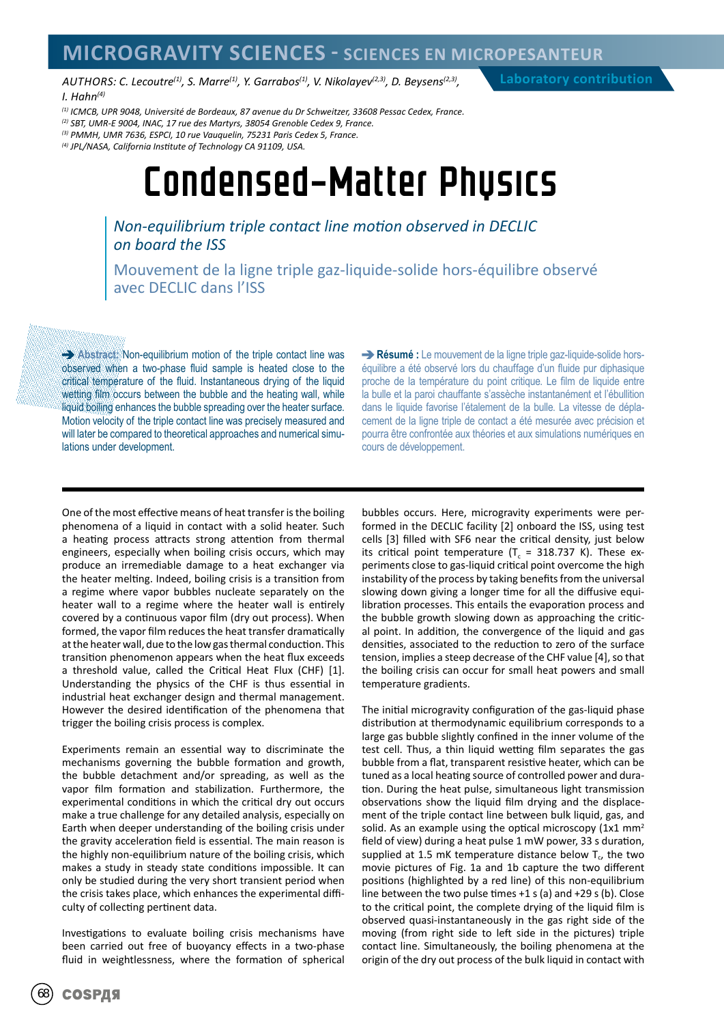### **MICROGRAVITY SCIENCES - SCIENCES EN MICROPESANTEUR**

AUTHORS: C. Lecoutre<sup>(1)</sup>, S. Marre<sup>(1)</sup>, Y. Garrabos<sup>(1)</sup>, V. Nikolayev<sup>(2,3)</sup>, D. Beysens<sup>(2,3)</sup>, *I. Hahn(4)*

**Laboratory contribution**

*(1) ICMCB, UPR 9048, Université de Bordeaux, 87 avenue du Dr Schweitzer, 33608 Pessac Cedex, France.*

*(2) SBT, UMR-E 9004, INAC, 17 rue des Martyrs, 38054 Grenoble Cedex 9, France.*

*(3) PMMH, UMR 7636, ESPCI, 10 rue Vauquelin, 75231 Paris Cedex 5, France.*

*(4) JPL/NASA, California Institute of Technology CA 91109, USA.*

### Condensed-Matter Physics

*Non-equilibrium triple contact line motion observed in DECLIC on board the ISS*

Mouvement de la ligne triple gaz-liquide-solide hors-équilibre observé avec DECLIC dans l'ISS

**Abstract:** Non-equilibrium motion of the triple contact line was observed when a two-phase fluid sample is heated close to the critical temperature of the fluid. Instantaneous drying of the liquid wetting film occurs between the bubble and the heating wall, while liquid boiling enhances the bubble spreading over the heater surface. Motion velocity of the triple contact line was precisely measured and will later be compared to theoretical approaches and numerical simulations under development.

**Résumé :** Le mouvement de la ligne triple gaz-liquide-solide horséquilibre a été observé lors du chauffage d'un fluide pur diphasique proche de la température du point critique. Le film de liquide entre la bulle et la paroi chauffante s'assèche instantanément et l'ébullition dans le liquide favorise l'étalement de la bulle. La vitesse de déplacement de la ligne triple de contact a été mesurée avec précision et pourra être confrontée aux théories et aux simulations numériques en cours de développement.

One of the most effective means of heat transfer is the boiling phenomena of a liquid in contact with a solid heater. Such a heating process attracts strong attention from thermal engineers, especially when boiling crisis occurs, which may produce an irremediable damage to a heat exchanger via the heater melting. Indeed, boiling crisis is a transition from a regime where vapor bubbles nucleate separately on the heater wall to a regime where the heater wall is entirely covered by a continuous vapor film (dry out process). When formed, the vapor film reduces the heat transfer dramatically at the heater wall, due to the low gas thermal conduction. This transition phenomenon appears when the heat flux exceeds a threshold value, called the Critical Heat Flux (CHF) [1]. Understanding the physics of the CHF is thus essential in industrial heat exchanger design and thermal management. However the desired identification of the phenomena that trigger the boiling crisis process is complex.

Experiments remain an essential way to discriminate the mechanisms governing the bubble formation and growth, the bubble detachment and/or spreading, as well as the vapor film formation and stabilization. Furthermore, the experimental conditions in which the critical dry out occurs make a true challenge for any detailed analysis, especially on Earth when deeper understanding of the boiling crisis under the gravity acceleration field is essential. The main reason is the highly non-equilibrium nature of the boiling crisis, which makes a study in steady state conditions impossible. It can only be studied during the very short transient period when the crisis takes place, which enhances the experimental difficulty of collecting pertinent data.

Investigations to evaluate boiling crisis mechanisms have been carried out free of buoyancy effects in a two-phase fluid in weightlessness, where the formation of spherical bubbles occurs. Here, microgravity experiments were performed in the DECLIC facility [2] onboard the ISS, using test cells [3] filled with SF6 near the critical density, just below its critical point temperature ( $T_c$  = 318.737 K). These experiments close to gas-liquid critical point overcome the high instability of the process by taking benefits from the universal slowing down giving a longer time for all the diffusive equilibration processes. This entails the evaporation process and the bubble growth slowing down as approaching the critical point. In addition, the convergence of the liquid and gas densities, associated to the reduction to zero of the surface tension, implies a steep decrease of the CHF value [4], so that the boiling crisis can occur for small heat powers and small temperature gradients.

The initial microgravity configuration of the gas-liquid phase distribution at thermodynamic equilibrium corresponds to a large gas bubble slightly confined in the inner volume of the test cell. Thus, a thin liquid wetting film separates the gas bubble from a flat, transparent resistive heater, which can be tuned as a local heating source of controlled power and duration. During the heat pulse, simultaneous light transmission observations show the liquid film drying and the displacement of the triple contact line between bulk liquid, gas, and solid. As an example using the optical microscopy  $(1x1 \text{ mm}^2)$ field of view) during a heat pulse 1 mW power, 33 s duration, supplied at 1.5 mK temperature distance below  $T_c$ , the two movie pictures of Fig. 1a and 1b capture the two different positions (highlighted by a red line) of this non-equilibrium line between the two pulse times +1 s (a) and +29 s (b). Close to the critical point, the complete drying of the liquid film is observed quasi-instantaneously in the gas right side of the moving (from right side to left side in the pictures) triple contact line. Simultaneously, the boiling phenomena at the origin of the dry out process of the bulk liquid in contact with